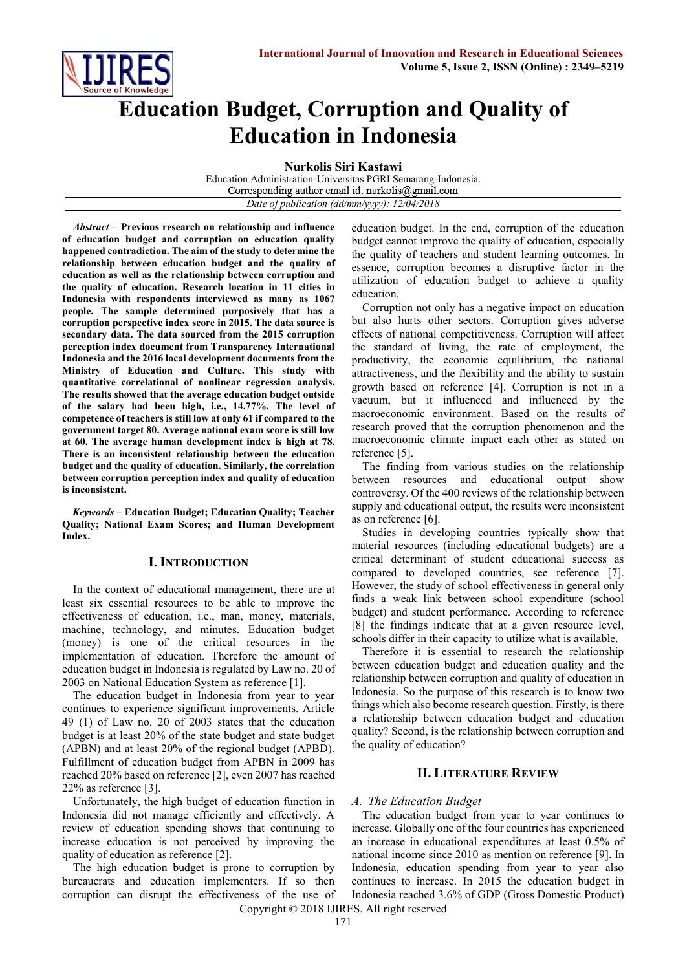

# **Education Budget, Corruption and Quality of Education in Indonesia**

**Nurkolis Siri Kastawi**

Education Administration-Universitas PGRI Semarang-Indonesia. Corresponding author email id: nurkolis@gmail.com *Date of publication (dd/mm/yyyy): 12/04/2018*

*Abstract* – **Previous research on relationship and influence of education budget and corruption on education quality happened contradiction. The aim of the study to determine the relationship between education budget and the quality of education as well as the relationship between corruption and the quality of education. Research location in 11 cities in Indonesia with respondents interviewed as many as 1067 people. The sample determined purposively that has a corruption perspective index score in 2015. The data source is secondary data. The data sourced from the 2015 corruption perception index document from Transparency International Indonesia and the 2016 local development documents from the Ministry of Education and Culture. This study with quantitative correlational of nonlinear regression analysis. The results showed that the average education budget outside of the salary had been high, i.e., 14.77%. The level of competence of teachers is still low at only 61 if compared to the government target 80. Average national exam score is still low at 60. The average human development index is high at 78. There is an inconsistent relationship between the education budget and the quality of education. Similarly, the correlation between corruption perception index and quality of education is inconsistent.**

*Keywords –* **Education Budget; Education Quality; Teacher Quality; National Exam Scores; and Human Development Index.** 

## **I. INTRODUCTION**

In the context of educational management, there are at least six essential resources to be able to improve the effectiveness of education, i.e., man, money, materials, machine, technology, and minutes. Education budget (money) is one of the critical resources in the implementation of education. Therefore the amount of education budget in Indonesia is regulated by Law no. 20 of 2003 on National Education System as reference [1].

The education budget in Indonesia from year to year continues to experience significant improvements. Article 49 (1) of Law no. 20 of 2003 states that the education budget is at least 20% of the state budget and state budget (APBN) and at least 20% of the regional budget (APBD). Fulfillment of education budget from APBN in 2009 has reached 20% based on reference [2], even 2007 has reached 22% as reference [3].

Unfortunately, the high budget of education function in Indonesia did not manage efficiently and effectively. A review of education spending shows that continuing to increase education is not perceived by improving the quality of education as reference [2].

The high education budget is prone to corruption by bureaucrats and education implementers. If so then corruption can disrupt the effectiveness of the use of education budget. In the end, corruption of the education budget cannot improve the quality of education, especially the quality of teachers and student learning outcomes. In essence, corruption becomes a disruptive factor in the utilization of education budget to achieve a quality education.

Corruption not only has a negative impact on education but also hurts other sectors. Corruption gives adverse effects of national competitiveness. Corruption will affect the standard of living, the rate of employment, the productivity, the economic equilibrium, the national attractiveness, and the flexibility and the ability to sustain growth based on reference [4]. Corruption is not in a vacuum, but it influenced and influenced by the macroeconomic environment. Based on the results of research proved that the corruption phenomenon and the macroeconomic climate impact each other as stated on reference [5].

The finding from various studies on the relationship between resources and educational output show controversy. Of the 400 reviews of the relationship between supply and educational output, the results were inconsistent as on reference [6].

Studies in developing countries typically show that material resources (including educational budgets) are a critical determinant of student educational success as compared to developed countries, see reference [7]. However, the study of school effectiveness in general only finds a weak link between school expenditure (school budget) and student performance. According to reference [8] the findings indicate that at a given resource level, schools differ in their capacity to utilize what is available.

Therefore it is essential to research the relationship between education budget and education quality and the relationship between corruption and quality of education in Indonesia. So the purpose of this research is to know two things which also become research question. Firstly, is there a relationship between education budget and education quality? Second, is the relationship between corruption and the quality of education?

## **II. LITERATURE REVIEW**

## *A. The Education Budget*

The education budget from year to year continues to increase. Globally one of the four countries has experienced an increase in educational expenditures at least 0.5% of national income since 2010 as mention on reference [9]. In Indonesia, education spending from year to year also continues to increase. In 2015 the education budget in Indonesia reached 3.6% of GDP (Gross Domestic Product)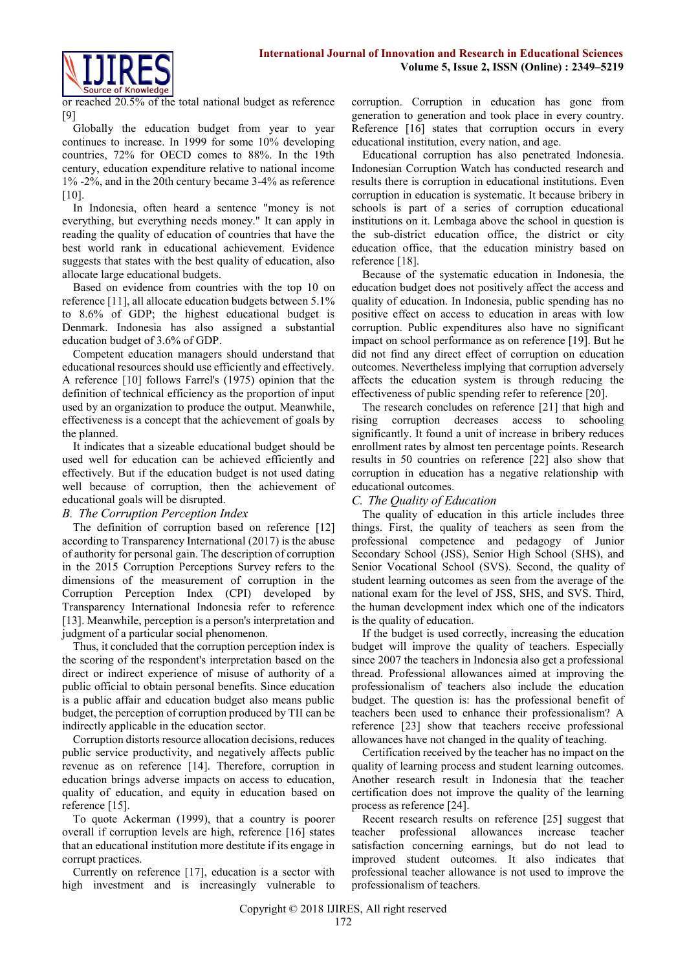

or reached 20.5% of the total national budget as reference [9]

Globally the education budget from year to year continues to increase. In 1999 for some 10% developing countries, 72% for OECD comes to 88%. In the 19th century, education expenditure relative to national income 1% -2%, and in the 20th century became 3-4% as reference [10].

In Indonesia, often heard a sentence "money is not everything, but everything needs money." It can apply in reading the quality of education of countries that have the best world rank in educational achievement. Evidence suggests that states with the best quality of education, also allocate large educational budgets.

Based on evidence from countries with the top 10 on reference [11], all allocate education budgets between 5.1% to 8.6% of GDP; the highest educational budget is Denmark. Indonesia has also assigned a substantial education budget of 3.6% of GDP.

Competent education managers should understand that educational resources should use efficiently and effectively. A reference [10] follows Farrel's (1975) opinion that the definition of technical efficiency as the proportion of input used by an organization to produce the output. Meanwhile, effectiveness is a concept that the achievement of goals by the planned.

It indicates that a sizeable educational budget should be used well for education can be achieved efficiently and effectively. But if the education budget is not used dating well because of corruption, then the achievement of educational goals will be disrupted.

## *B. The Corruption Perception Index*

The definition of corruption based on reference [12] according to Transparency International (2017) is the abuse of authority for personal gain. The description of corruption in the 2015 Corruption Perceptions Survey refers to the dimensions of the measurement of corruption in the Corruption Perception Index (CPI) developed by Transparency International Indonesia refer to reference [13]. Meanwhile, perception is a person's interpretation and judgment of a particular social phenomenon.

Thus, it concluded that the corruption perception index is the scoring of the respondent's interpretation based on the direct or indirect experience of misuse of authority of a public official to obtain personal benefits. Since education is a public affair and education budget also means public budget, the perception of corruption produced by TII can be indirectly applicable in the education sector.

Corruption distorts resource allocation decisions, reduces public service productivity, and negatively affects public revenue as on reference [14]. Therefore, corruption in education brings adverse impacts on access to education, quality of education, and equity in education based on reference [15].

To quote Ackerman (1999), that a country is poorer overall if corruption levels are high, reference [16] states that an educational institution more destitute if its engage in corrupt practices.

Currently on reference [17], education is a sector with high investment and is increasingly vulnerable to corruption. Corruption in education has gone from generation to generation and took place in every country. Reference [16] states that corruption occurs in every educational institution, every nation, and age.

Educational corruption has also penetrated Indonesia. Indonesian Corruption Watch has conducted research and results there is corruption in educational institutions. Even corruption in education is systematic. It because bribery in schools is part of a series of corruption educational institutions on it. Lembaga above the school in question is the sub-district education office, the district or city education office, that the education ministry based on reference [18].

Because of the systematic education in Indonesia, the education budget does not positively affect the access and quality of education. In Indonesia, public spending has no positive effect on access to education in areas with low corruption. Public expenditures also have no significant impact on school performance as on reference [19]. But he did not find any direct effect of corruption on education outcomes. Nevertheless implying that corruption adversely affects the education system is through reducing the effectiveness of public spending refer to reference [20].

The research concludes on reference [21] that high and rising corruption decreases access to schooling significantly. It found a unit of increase in bribery reduces enrollment rates by almost ten percentage points. Research results in 50 countries on reference [22] also show that corruption in education has a negative relationship with educational outcomes.

# *C. The Quality of Education*

The quality of education in this article includes three things. First, the quality of teachers as seen from the professional competence and pedagogy of Junior Secondary School (JSS), Senior High School (SHS), and Senior Vocational School (SVS). Second, the quality of student learning outcomes as seen from the average of the national exam for the level of JSS, SHS, and SVS. Third, the human development index which one of the indicators is the quality of education.

If the budget is used correctly, increasing the education budget will improve the quality of teachers. Especially since 2007 the teachers in Indonesia also get a professional thread. Professional allowances aimed at improving the professionalism of teachers also include the education budget. The question is: has the professional benefit of teachers been used to enhance their professionalism? A reference [23] show that teachers receive professional allowances have not changed in the quality of teaching.

Certification received by the teacher has no impact on the quality of learning process and student learning outcomes. Another research result in Indonesia that the teacher certification does not improve the quality of the learning process as reference [24].

Recent research results on reference [25] suggest that teacher professional allowances increase teacher satisfaction concerning earnings, but do not lead to improved student outcomes. It also indicates that professional teacher allowance is not used to improve the professionalism of teachers.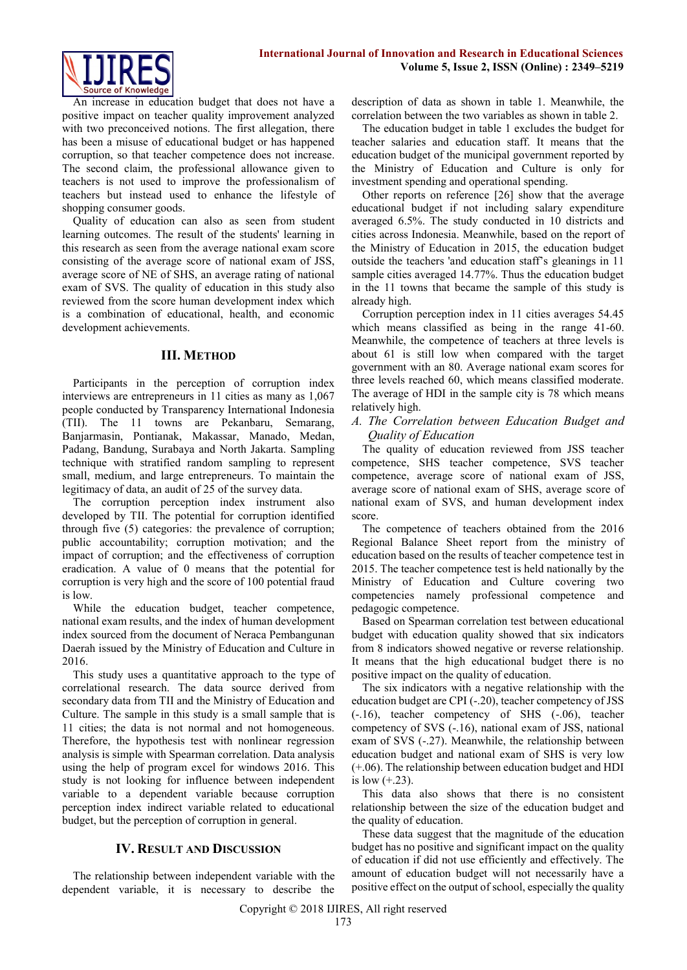

An increase in education budget that does not have a positive impact on teacher quality improvement analyzed with two preconceived notions. The first allegation, there has been a misuse of educational budget or has happened corruption, so that teacher competence does not increase. The second claim, the professional allowance given to teachers is not used to improve the professionalism of teachers but instead used to enhance the lifestyle of shopping consumer goods.

Quality of education can also as seen from student learning outcomes. The result of the students' learning in this research as seen from the average national exam score consisting of the average score of national exam of JSS, average score of NE of SHS, an average rating of national exam of SVS. The quality of education in this study also reviewed from the score human development index which is a combination of educational, health, and economic development achievements.

## **III. METHOD**

Participants in the perception of corruption index interviews are entrepreneurs in 11 cities as many as 1,067 people conducted by Transparency International Indonesia (TII). The 11 towns are Pekanbaru, Semarang, Banjarmasin, Pontianak, Makassar, Manado, Medan, Padang, Bandung, Surabaya and North Jakarta. Sampling technique with stratified random sampling to represent small, medium, and large entrepreneurs. To maintain the legitimacy of data, an audit of 25 of the survey data.

The corruption perception index instrument also developed by TII. The potential for corruption identified through five (5) categories: the prevalence of corruption; public accountability; corruption motivation; and the impact of corruption; and the effectiveness of corruption eradication. A value of 0 means that the potential for corruption is very high and the score of 100 potential fraud is low.

While the education budget, teacher competence, national exam results, and the index of human development index sourced from the document of Neraca Pembangunan Daerah issued by the Ministry of Education and Culture in 2016.

This study uses a quantitative approach to the type of correlational research. The data source derived from secondary data from TII and the Ministry of Education and Culture. The sample in this study is a small sample that is 11 cities; the data is not normal and not homogeneous. Therefore, the hypothesis test with nonlinear regression analysis is simple with Spearman correlation. Data analysis using the help of program excel for windows 2016. This study is not looking for influence between independent variable to a dependent variable because corruption perception index indirect variable related to educational budget, but the perception of corruption in general.

# **IV. RESULT AND DISCUSSION**

The relationship between independent variable with the dependent variable, it is necessary to describe the description of data as shown in table 1. Meanwhile, the correlation between the two variables as shown in table 2.

The education budget in table 1 excludes the budget for teacher salaries and education staff. It means that the education budget of the municipal government reported by the Ministry of Education and Culture is only for investment spending and operational spending.

Other reports on reference [26] show that the average educational budget if not including salary expenditure averaged 6.5%. The study conducted in 10 districts and cities across Indonesia. Meanwhile, based on the report of the Ministry of Education in 2015, the education budget outside the teachers 'and education staff's gleanings in 11 sample cities averaged 14.77%. Thus the education budget in the 11 towns that became the sample of this study is already high.

Corruption perception index in 11 cities averages 54.45 which means classified as being in the range 41-60. Meanwhile, the competence of teachers at three levels is about 61 is still low when compared with the target government with an 80. Average national exam scores for three levels reached 60, which means classified moderate. The average of HDI in the sample city is 78 which means relatively high.

## *A. The Correlation between Education Budget and Quality of Education*

The quality of education reviewed from JSS teacher competence, SHS teacher competence, SVS teacher competence, average score of national exam of JSS, average score of national exam of SHS, average score of national exam of SVS, and human development index score.

The competence of teachers obtained from the 2016 Regional Balance Sheet report from the ministry of education based on the results of teacher competence test in 2015. The teacher competence test is held nationally by the Ministry of Education and Culture covering two competencies namely professional competence and pedagogic competence.

Based on Spearman correlation test between educational budget with education quality showed that six indicators from 8 indicators showed negative or reverse relationship. It means that the high educational budget there is no positive impact on the quality of education.

The six indicators with a negative relationship with the education budget are CPI (-.20), teacher competency of JSS (-.16), teacher competency of SHS (-.06), teacher competency of SVS (-.16), national exam of JSS, national exam of SVS (-.27). Meanwhile, the relationship between education budget and national exam of SHS is very low (+.06). The relationship between education budget and HDI is low  $(+.23)$ .

This data also shows that there is no consistent relationship between the size of the education budget and the quality of education.

These data suggest that the magnitude of the education budget has no positive and significant impact on the quality of education if did not use efficiently and effectively. The amount of education budget will not necessarily have a positive effect on the output of school, especially the quality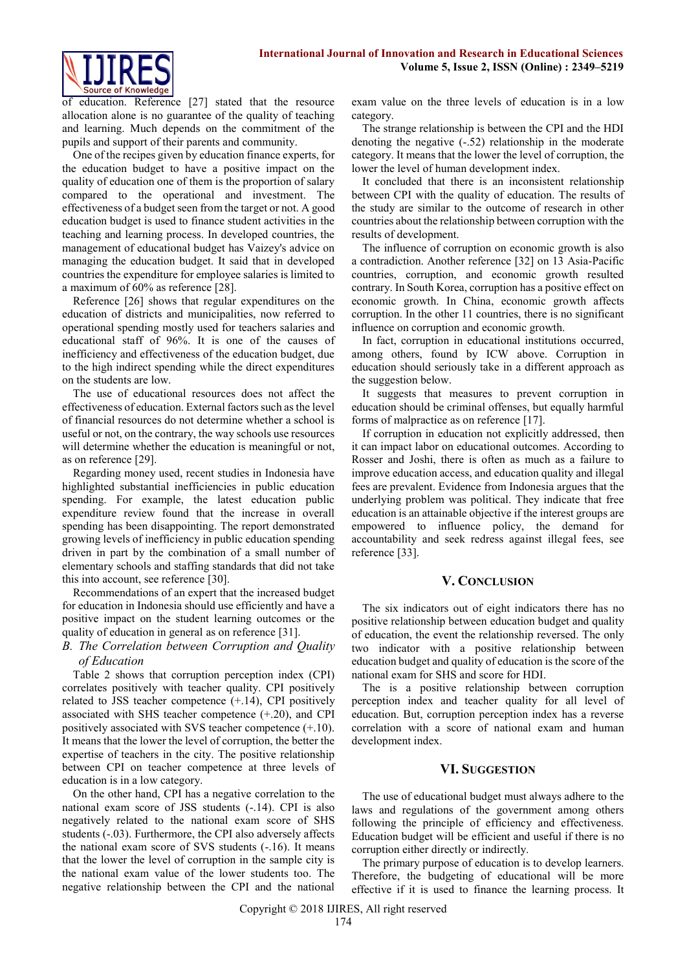

of education. Reference [27] stated that the resource allocation alone is no guarantee of the quality of teaching and learning. Much depends on the commitment of the pupils and support of their parents and community.

One of the recipes given by education finance experts, for the education budget to have a positive impact on the quality of education one of them is the proportion of salary compared to the operational and investment. The effectiveness of a budget seen from the target or not. A good education budget is used to finance student activities in the teaching and learning process. In developed countries, the management of educational budget has Vaizey's advice on managing the education budget. It said that in developed countries the expenditure for employee salaries is limited to a maximum of 60% as reference [28].

Reference [26] shows that regular expenditures on the education of districts and municipalities, now referred to operational spending mostly used for teachers salaries and educational staff of 96%. It is one of the causes of inefficiency and effectiveness of the education budget, due to the high indirect spending while the direct expenditures on the students are low.

The use of educational resources does not affect the effectiveness of education. External factors such as the level of financial resources do not determine whether a school is useful or not, on the contrary, the way schools use resources will determine whether the education is meaningful or not, as on reference [29].

Regarding money used, recent studies in Indonesia have highlighted substantial inefficiencies in public education spending. For example, the latest education public expenditure review found that the increase in overall spending has been disappointing. The report demonstrated growing levels of inefficiency in public education spending driven in part by the combination of a small number of elementary schools and staffing standards that did not take this into account, see reference [30].

Recommendations of an expert that the increased budget for education in Indonesia should use efficiently and have a positive impact on the student learning outcomes or the quality of education in general as on reference [31].

## *B. The Correlation between Corruption and Quality of Education*

Table 2 shows that corruption perception index (CPI) correlates positively with teacher quality. CPI positively related to JSS teacher competence  $(+.14)$ , CPI positively associated with SHS teacher competence (+.20), and CPI positively associated with SVS teacher competence (+.10). It means that the lower the level of corruption, the better the expertise of teachers in the city. The positive relationship between CPI on teacher competence at three levels of education is in a low category.

On the other hand, CPI has a negative correlation to the national exam score of JSS students (-.14). CPI is also negatively related to the national exam score of SHS students (-.03). Furthermore, the CPI also adversely affects the national exam score of SVS students (-.16). It means that the lower the level of corruption in the sample city is the national exam value of the lower students too. The negative relationship between the CPI and the national exam value on the three levels of education is in a low category.

The strange relationship is between the CPI and the HDI denoting the negative (-.52) relationship in the moderate category. It means that the lower the level of corruption, the lower the level of human development index.

It concluded that there is an inconsistent relationship between CPI with the quality of education. The results of the study are similar to the outcome of research in other countries about the relationship between corruption with the results of development.

The influence of corruption on economic growth is also a contradiction. Another reference [32] on 13 Asia-Pacific countries, corruption, and economic growth resulted contrary. In South Korea, corruption has a positive effect on economic growth. In China, economic growth affects corruption. In the other 11 countries, there is no significant influence on corruption and economic growth.

In fact, corruption in educational institutions occurred, among others, found by ICW above. Corruption in education should seriously take in a different approach as the suggestion below.

It suggests that measures to prevent corruption in education should be criminal offenses, but equally harmful forms of malpractice as on reference [17].

If corruption in education not explicitly addressed, then it can impact labor on educational outcomes. According to Rosser and Joshi, there is often as much as a failure to improve education access, and education quality and illegal fees are prevalent. Evidence from Indonesia argues that the underlying problem was political. They indicate that free education is an attainable objective if the interest groups are empowered to influence policy, the demand for accountability and seek redress against illegal fees, see reference [33].

## **V. CONCLUSION**

The six indicators out of eight indicators there has no positive relationship between education budget and quality of education, the event the relationship reversed. The only two indicator with a positive relationship between education budget and quality of education is the score of the national exam for SHS and score for HDI.

The is a positive relationship between corruption perception index and teacher quality for all level of education. But, corruption perception index has a reverse correlation with a score of national exam and human development index.

#### **VI. SUGGESTION**

The use of educational budget must always adhere to the laws and regulations of the government among others following the principle of efficiency and effectiveness. Education budget will be efficient and useful if there is no corruption either directly or indirectly.

The primary purpose of education is to develop learners. Therefore, the budgeting of educational will be more effective if it is used to finance the learning process. It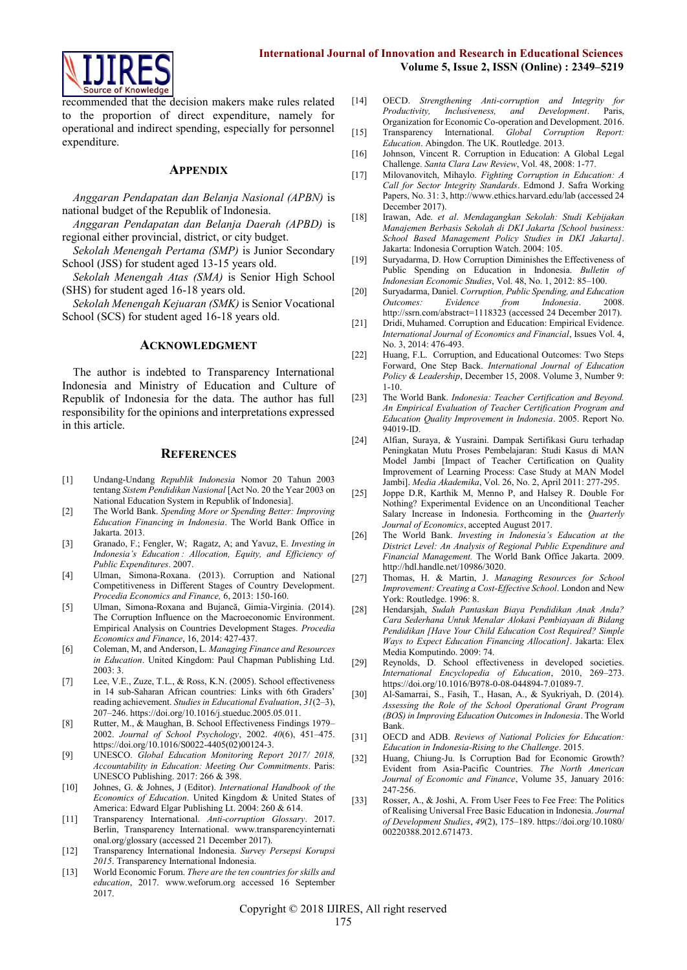

recommended that the decision makers make rules related to the proportion of direct expenditure, namely for operational and indirect spending, especially for personnel expenditure.

#### **APPENDIX**

*Anggaran Pendapatan dan Belanja Nasional (APBN)* is national budget of the Republik of Indonesia.

*Anggaran Pendapatan dan Belanja Daerah (APBD)* is regional either provincial, district, or city budget.

*Sekolah Menengah Pertama (SMP)* is Junior Secondary School (JSS) for student aged 13-15 years old.

*Sekolah Menengah Atas (SMA)* is Senior High School (SHS) for student aged 16-18 years old.

*Sekolah Menengah Kejuaran (SMK)* is Senior Vocational School (SCS) for student aged 16-18 years old.

#### **ACKNOWLEDGMENT**

The author is indebted to Transparency International Indonesia and Ministry of Education and Culture of Republik of Indonesia for the data. The author has full responsibility for the opinions and interpretations expressed in this article.

#### **REFERENCES**

- [1] Undang-Undang *Republik Indonesia* Nomor 20 Tahun 2003 tentang *Sistem Pendidikan Nasional* [Act No. 20 the Year 2003 on National Education System in Republik of Indonesia].
- [2] The World Bank. *Spending More or Spending Better: Improving Education Financing in Indonesia*. The World Bank Office in Jakarta. 2013.
- [3] Granado, F.; Fengler, W; Ragatz, A; and Yavuz, E. *Investing in Indonesia's Education : Allocation, Equity, and Efficiency of Public Expenditures*. 2007.
- [4] Ulman, Simona-Roxana. (2013). Corruption and National Competitiveness in Different Stages of Country Development. *Procedia Economics and Finance,* 6, 2013: 150-160.
- [5] Ulman, Simona-Roxana and Bujancă, Gimia-Virginia. (2014). The Corruption Influence on the Macroeconomic Environment. Empirical Analysis on Countries Development Stages. *Procedia Economics and Finance*, 16, 2014: 427-437.
- [6] Coleman, M, and Anderson, L. *Managing Finance and Resources in Education*. United Kingdom: Paul Chapman Publishing Ltd.  $2003 \cdot 3$
- [7] Lee, V.E., Zuze, T.L., & Ross, K.N. (2005). School effectiveness in 14 sub-Saharan African countries: Links with 6th Graders' reading achievement. *Studies in Educational Evaluation*, *31*(2–3), 207–246[. https://doi.org/10.1016/j.stueduc.2005.05.011.](https://doi.org/10.1016/j.stueduc.2005.05.011)
- [8] Rutter, M., & Maughan, B. School Effectiveness Findings 1979– 2002. *Journal of School Psychology*, 2002. *40*(6), 451–475. [https://doi.org/10.1016/S0022-4405\(02\)00124-3.](https://doi.org/10.1016/S0022-4405(02)00124-3)
- [9] UNESCO. *Global Education Monitoring Report 2017/ 2018, Accountability in Education: Meeting Our Commitments*. Paris: UNESCO Publishing. 2017: 266 & 398.
- [10] Johnes, G. & Johnes, J (Editor). *International Handbook of the Economics of Education*. United Kingdom & United States of America: Edward Elgar Publishing Lt. 2004: 260 & 614.
- [11] Transparency International. *Anti-corruption Glossary*. 2017. Berlin, Transparency International. [www.transparencyinternati](http://www.transparencyinternational.org/glossary) [onal.org/glossary](http://www.transparencyinternational.org/glossary) (accessed 21 December 2017).
- [12] Transparency International Indonesia. *Survey Persepsi Korupsi 2015*. Transparency International Indonesia.
- [13] World Economic Forum. *There are the ten countries for skills and education*, 2017. [www.weforum.org](http://www.weforum.org/) accessed 16 September 2017.
- [14] OECD. *Strengthening Anti-corruption and Integrity for Inclusiveness, and Development.* Organization for Economic Co-operation and Development. 2016.
- [15] Transparency International. *Global Corruption Report: Education*. Abingdon. The UK. Routledge. 2013.
- [16] Johnson, Vincent R. Corruption in Education: A Global Legal Challenge. *Santa Clara Law Review*, Vol. 48, 2008: 1-77.
- [17] Milovanovitch, Mihaylo. *Fighting Corruption in Education: A Call for Sector Integrity Standards*. Edmond J. Safra Working Papers, No. 31: 3, http://www.ethics.harvard.edu/lab (accessed 24 December 2017).
- [18] Irawan, Ade. *et al*. *Mendagangkan Sekolah: Studi Kebijakan Manajemen Berbasis Sekolah di DKI Jakarta [School business: School Based Management Policy Studies in DKI Jakarta]*. Jakarta: Indonesia Corruption Watch. 2004: 105.
- [19] Suryadarma, D. How Corruption Diminishes the Effectiveness of Public Spending on Education in Indonesia. *Bulletin of Indonesian Economic Studies*, Vol. 48, No. 1, 2012: 85–100.
- [20] Suryadarma, Daniel. *Corruption, Public Spending, and Education Outcomes: Evidence from Indonesia*. 2008. <http://ssrn.com/abstract=1118323> (accessed 24 December 2017).
- [21] Dridi, Muhamed. Corruption and Education: Empirical Evidence. *International Journal of Economics and Financial*, Issues Vol. 4, No. 3, 2014: 476-493.
- [22] Huang, F.L. Corruption, and Educational Outcomes: Two Steps Forward, One Step Back. *International Journal of Education Policy & Leadership*, December 15, 2008. Volume 3, Number 9: 1-10.
- [23] The World Bank. *Indonesia: Teacher Certification and Beyond. An Empirical Evaluation of Teacher Certification Program and Education Quality Improvement in Indonesia*. 2005. Report No. 94019-ID.
- [24] Alfian, Suraya, & Yusraini. Dampak Sertifikasi Guru terhadap Peningkatan Mutu Proses Pembelajaran: Studi Kasus di MAN Model Jambi [Impact of Teacher Certification on Quality Improvement of Learning Process: Case Study at MAN Model Jambi]. *Media Akademika*, Vol. 26, No. 2, April 2011: 277-295.
- [25] Joppe D.R, Karthik M, Menno P, and Halsey R. Double For Nothing? Experimental Evidence on an Unconditional Teacher Salary Increase in Indonesia. Forthcoming in the *Quarterly Journal of Economics*, accepted August 2017.
- [26] The World Bank. *Investing in Indonesia's Education at the District Level: An Analysis of Regional Public Expenditure and Financial Management.* The World Bank Office Jakarta. 2009. [http://hdl.handle.net/10986/3020.](http://hdl.handle.net/10986/3020)
- [27] Thomas, H. & Martin, J. *Managing Resources for School Improvement: Creating a Cost-Effective School*. London and New York: Routledge. 1996: 8.
- [28] Hendarsjah, *Sudah Pantaskan Biaya Pendidikan Anak Anda? Cara Sederhana Untuk Menalar Alokasi Pembiayaan di Bidang Pendidikan [Have Your Child Education Cost Required? Simple Ways to Expect Education Financing Allocation]*. Jakarta: Elex Media Komputindo. 2009: 74.
- [29] Reynolds, D. School effectiveness in developed societies. *International Encyclopedia of Education*, 2010, 269–273. [https://doi.org/10.1016/B978-0-08-044894-7.01089-7.](https://doi.org/10.1016/B978-0-08-044894-7.01089-7)
- [30] Al-Samarrai, S., Fasih, T., Hasan, A., & Syukriyah, D. (2014). *Assessing the Role of the School Operational Grant Program (BOS) in Improving Education Outcomes in Indonesia*. The World Bank.
- [31] OECD and ADB. *Reviews of National Policies for Education: Education in Indonesia-Rising to the Challenge*. 2015.
- [32] Huang, Chiung-Ju. Is Corruption Bad for Economic Growth? Evident from Asia-Pacific Countries. *The North American Journal of Economic and Finance*, Volume 35, January 2016: 247-256.
- [33] Rosser, A., & Joshi, A. From User Fees to Fee Free: The Politics of Realising Universal Free Basic Education in Indonesia. *Journal of Development Studies*, *49*(2), 175–189. https://doi.org/10.1080/ 00220388.2012.671473.